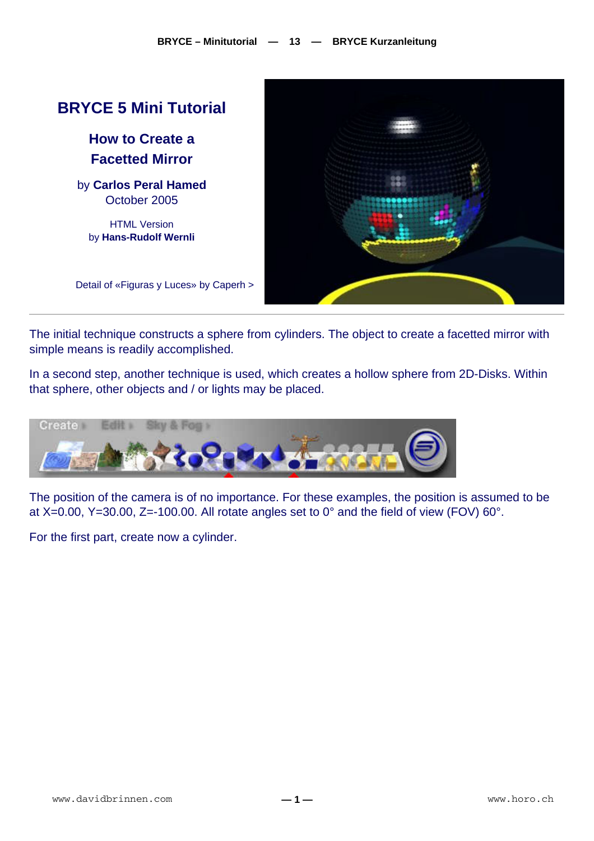

The initial technique constructs a sphere from cylinders. The object to create a facetted mirror with simple means is readily accomplished.

In a second step, another technique is used, which creates a hollow sphere from 2D-Disks. Within that sphere, other objects and / or lights may be placed.



The position of the camera is of no importance. For these examples, the position is assumed to be at  $X=0.00$ ,  $Y=30.00$ ,  $Z=100.00$ . All rotate angles set to  $0^{\circ}$  and the field of view (FOV) 60°.

For the first part, create now a cylinder.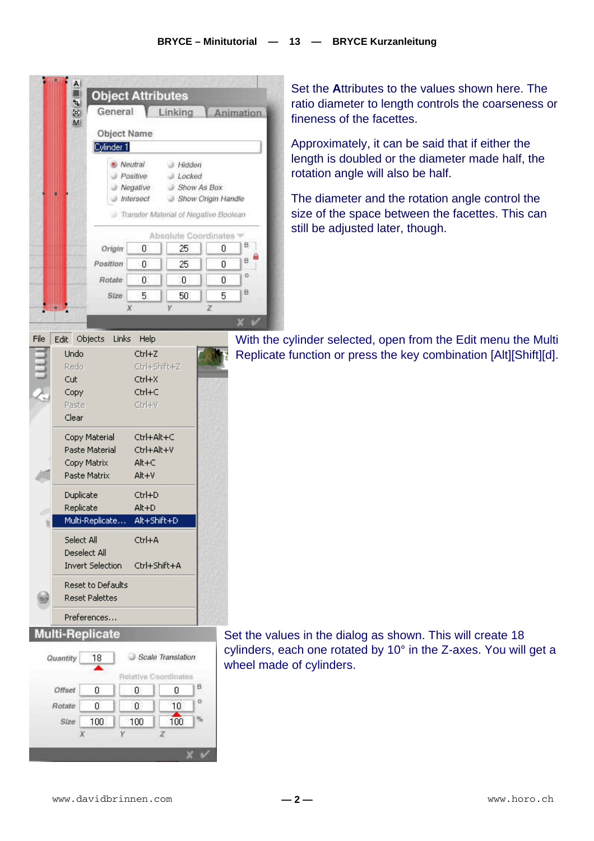|      | A                           | <b>Object Attributes</b> |                                              |                                                                                                   |   |           |  |  |
|------|-----------------------------|--------------------------|----------------------------------------------|---------------------------------------------------------------------------------------------------|---|-----------|--|--|
|      | ጜ<br>$\mathbb{F}^2$<br>M    | General                  |                                              | Linking                                                                                           |   | Animation |  |  |
|      |                             | <b>Object Name</b>       |                                              |                                                                                                   |   |           |  |  |
|      |                             | Cylinder 1               |                                              |                                                                                                   |   |           |  |  |
|      |                             |                          | Neutral<br>Positive<br>Negative<br>Intersect | J. Hidden<br>Locked<br>Show As Box<br>Show Origin Handle<br>Transfer Material of Negative Boolean |   |           |  |  |
|      |                             |                          |                                              | Absolute Coordinates                                                                              |   |           |  |  |
|      |                             | Origin                   | Ū.                                           | 25                                                                                                | 0 | В.        |  |  |
|      |                             | <b>Position</b>          | Ū.                                           | 25                                                                                                | 0 | B.        |  |  |
|      |                             | Rotate:                  | Ū.                                           | 0                                                                                                 | 0 | o.        |  |  |
|      |                             | Size                     | 5.                                           | 50.                                                                                               | 5 | B         |  |  |
|      |                             |                          |                                              |                                                                                                   | z |           |  |  |
|      |                             |                          |                                              |                                                                                                   |   |           |  |  |
| File | Edit Objects                | Links                    | Help                                         |                                                                                                   |   | With t    |  |  |
|      | Undo<br>Redo                |                          | Ctrl+Z<br>Ctrl+Shift+Z                       |                                                                                                   |   | Replid    |  |  |
|      | Cut                         |                          | Ctrl+X                                       |                                                                                                   |   |           |  |  |
|      | Copy                        |                          | Ctrl+C                                       |                                                                                                   |   |           |  |  |
|      | Paste                       |                          | Ctrl+V                                       |                                                                                                   |   |           |  |  |
|      | Clear                       |                          |                                              |                                                                                                   |   |           |  |  |
|      |                             | Copy Material            | Ctrl+Alt+C                                   |                                                                                                   |   |           |  |  |
|      |                             | Paste Material           | Ctrl+Alt+V                                   |                                                                                                   |   |           |  |  |
|      | Copy Matrix<br>Paste Matrix |                          | $Alt + C$<br>Alt+V                           |                                                                                                   |   |           |  |  |
|      |                             |                          |                                              |                                                                                                   |   |           |  |  |
|      | Duplicate<br>Replicate      |                          | Ctrl+D<br>Alt+D                              |                                                                                                   |   |           |  |  |
|      |                             | Multi-Replicate          | Alt+Shift+D                                  |                                                                                                   |   |           |  |  |
|      | Select All                  |                          | Ctrl+A                                       |                                                                                                   |   |           |  |  |
|      | Deselect All                |                          |                                              |                                                                                                   |   |           |  |  |
|      | <b>Invert Selection</b>     |                          | Ctrl+Shift+A                                 |                                                                                                   |   |           |  |  |
|      |                             | <b>Reset to Defaults</b> |                                              |                                                                                                   |   |           |  |  |
|      |                             | <b>Reset Palettes</b>    |                                              |                                                                                                   |   |           |  |  |
|      |                             | Preferences              |                                              |                                                                                                   |   |           |  |  |
|      |                             |                          |                                              |                                                                                                   |   |           |  |  |



Set the **A**ttributes to the values shown here. The ratio diameter to length controls the coarseness or fineness of the facettes.

Approximately, it can be said that if either the length is doubled or the diameter made half, the rotation angle will also be half.

The diameter and the rotation angle control the size of the space between the facettes. This can still be adjusted later, though.

the cylinder selected, open from the Edit menu the Multi cate function or press the key combination [Alt][Shift][d].

values in the dialog as shown. This will create 18 cylinders, each one rotated by 10° in the Z-axes. You will get a wheel made of cylinders.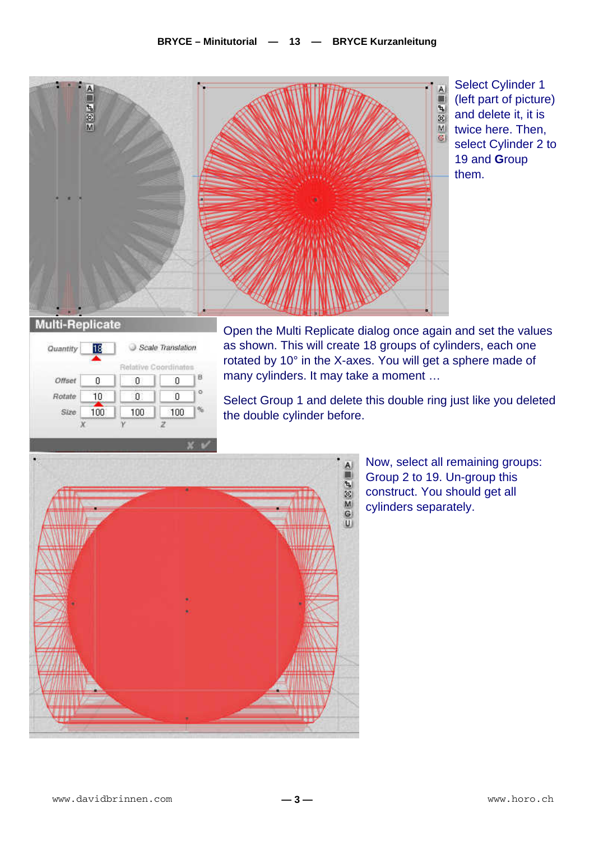

Select Cylinder 1 (left part of picture) and delete it, it is twice here. Then, select Cylinder 2 to 19 and **G**roup them.

|        | Relative Coordinates |
|--------|----------------------|
| τ<br>U | 0                    |
| Ū      | Ū                    |
| 100    | 100                  |
|        |                      |

Open the Multi Replicate dialog once again and set the values as shown. This will create 18 groups of cylinders, each one rotated by 10° in the X-axes. You will get a sphere made of many cylinders. It may take a moment …

Select Group 1 and delete this double ring just like you deleted the double cylinder before.



Now, select all remaining groups: Group 2 to 19. Un-group this construct. You should get all cylinders separately.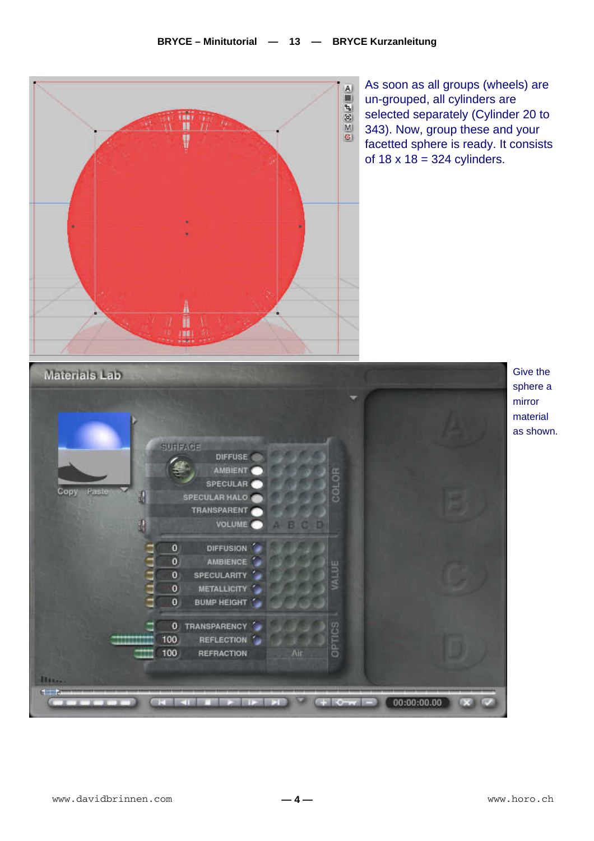

Give the sphere a mirror material as shown.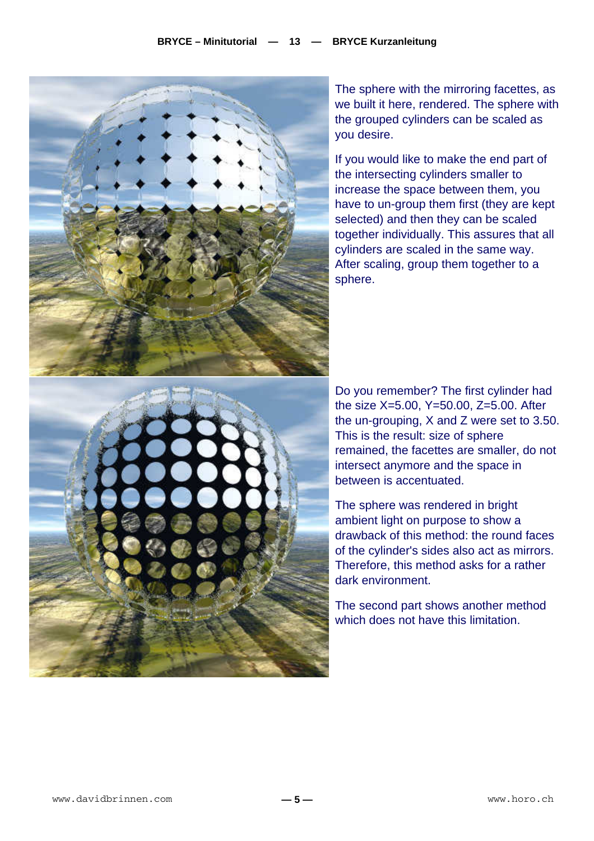

The sphere with the mirroring facettes, as we built it here, rendered. The sphere with the grouped cylinders can be scaled as you desire.

If you would like to make the end part of the intersecting cylinders smaller to increase the space between them, you have to un-group them first (they are kept selected) and then they can be scaled together individually. This assures that all cylinders are scaled in the same way. After scaling, group them together to a sphere.

Do you remember? The first cylinder had the size X=5.00, Y=50.00, Z=5.00. After the un-grouping, X and Z were set to 3.50. This is the result: size of sphere remained, the facettes are smaller, do not intersect anymore and the space in between is accentuated.

The sphere was rendered in bright ambient light on purpose to show a drawback of this method: the round faces of the cylinder's sides also act as mirrors. Therefore, this method asks for a rather dark environment.

The second part shows another method which does not have this limitation.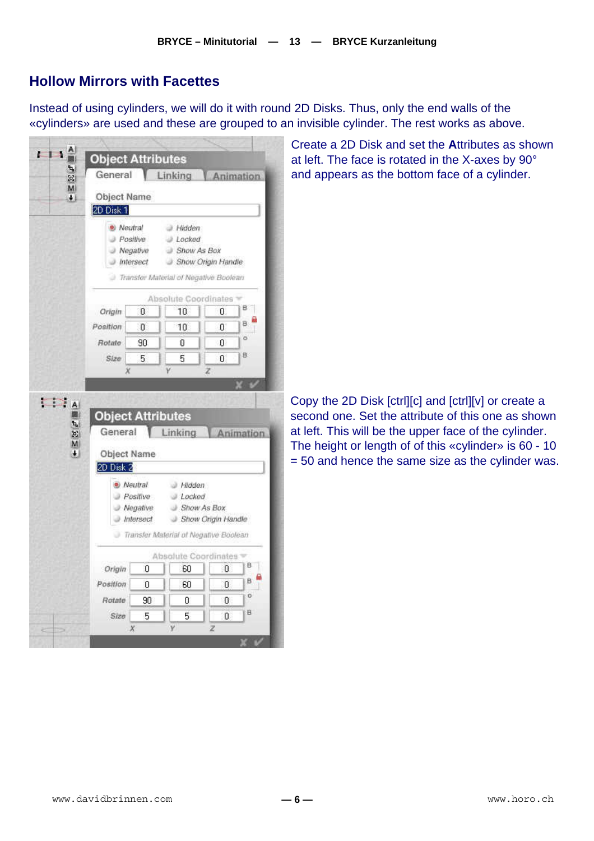## **Hollow Mirrors with Facettes**

Instead of using cylinders, we will do it with round 2D Disks. Thus, only the end walls of the «cylinders» are used and these are grouped to an invisible cylinder. The rest works as above.

| General              |                                                                   |                                                                                                    | Linking Animation                                                                  |
|----------------------|-------------------------------------------------------------------|----------------------------------------------------------------------------------------------------|------------------------------------------------------------------------------------|
| Object Name          |                                                                   |                                                                                                    |                                                                                    |
| 2D Disk 1            |                                                                   |                                                                                                    |                                                                                    |
| <sup>®</sup> Neutral | Positive<br>J Negative<br>J Intersect                             | - Hidden<br>J Locked<br>Show As Box<br>Show Origin Handle<br>Transfer Material of Negative Boolean |                                                                                    |
|                      |                                                                   | Absolute Coordinates                                                                               |                                                                                    |
| Origin               | Ū                                                                 | 10                                                                                                 | в<br>Ū.                                                                            |
| Position             | Ū                                                                 | 10                                                                                                 | в.<br>۵                                                                            |
| Rotate               | 90                                                                | Ū                                                                                                  | ö<br>0                                                                             |
|                      |                                                                   |                                                                                                    |                                                                                    |
| Size                 | 5<br>χ                                                            | 5                                                                                                  | 8<br>ū<br>z                                                                        |
|                      | <b>Object Attributes</b>                                          |                                                                                                    |                                                                                    |
| General<br>2D Disk 2 | Object Name<br>® Neutral<br>Positive<br>Negative<br>$J$ Intersect | al Hidden<br>J Locked<br>Show As Box                                                               | Linking   Animation<br>Show Origin Handle<br>Transfer Material of Negative Boolean |
|                      |                                                                   | Absolute Coordinates                                                                               |                                                                                    |
| Origin               | n                                                                 | 60                                                                                                 | B<br>0                                                                             |
| Position             | 0                                                                 | 60                                                                                                 | в<br>0                                                                             |
| Rotate               | 90                                                                | 0                                                                                                  | o<br>0                                                                             |

Create a 2D Disk and set the **A**ttributes as shown at left. The face is rotated in the X-axes by 90° and appears as the bottom face of a cylinder.

Copy the 2D Disk [ctrl][c] and [ctrl][v] or create a second one. Set the attribute of this one as shown at left. This will be the upper face of the cylinder. The height or length of of this «cylinder» is 60 - 10 = 50 and hence the same size as the cylinder was.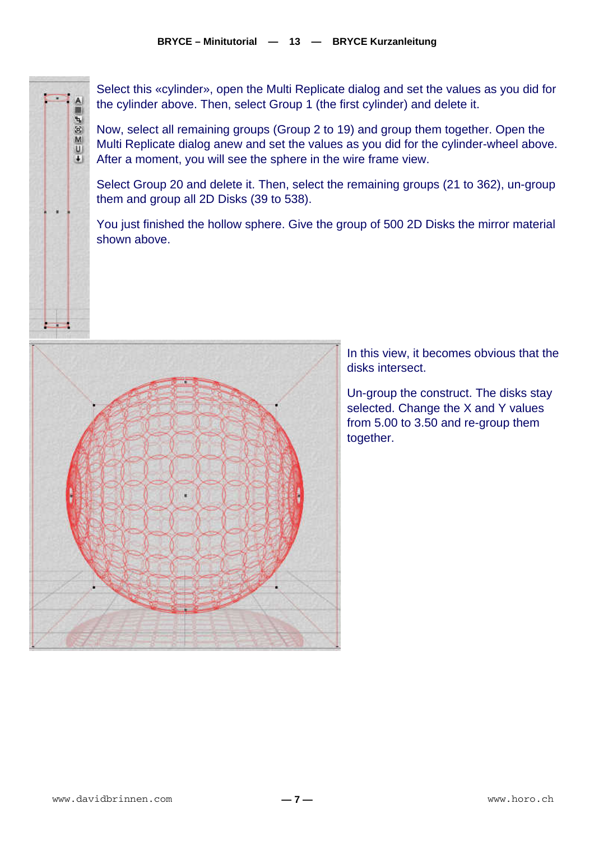Select this «cylinder», open the Multi Replicate dialog and set the values as you did for the cylinder above. Then, select Group 1 (the first cylinder) and delete it.

Now, select all remaining groups (Group 2 to 19) and group them together. Open the Multi Replicate dialog anew and set the values as you did for the cylinder-wheel above. After a moment, you will see the sphere in the wire frame view.

Select Group 20 and delete it. Then, select the remaining groups (21 to 362), un-group them and group all 2D Disks (39 to 538).

You just finished the hollow sphere. Give the group of 500 2D Disks the mirror material shown above.



In this view, it becomes obvious that the disks intersect.

Un-group the construct. The disks stay selected. Change the X and Y values from 5.00 to 3.50 and re-group them together.

 $+ \equiv \geq \boxtimes F$ 

22